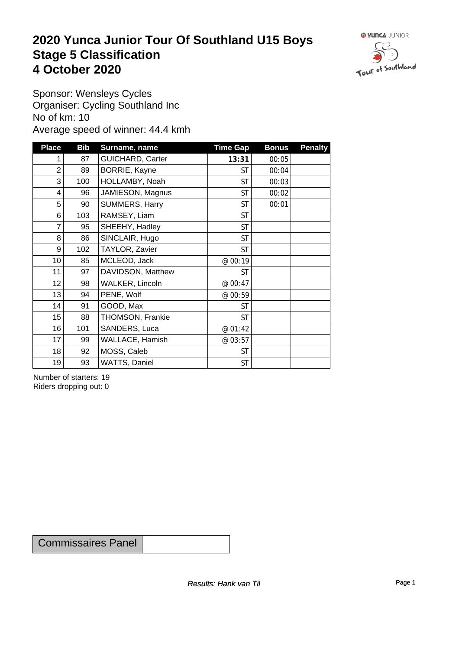#### **2020 Yunca Junior Tour Of Southland U15 Boys** Stage 5 Classification<br>4 October 2020 **4 October 2020**



Sponsor: Wensleys Cycles Organiser: Cycling Southland Inc No of km: 10 Average speed of winner: 44.4 kmh

| <b>Place</b>    | <b>Bib</b> | Surname, name           | <b>Time Gap</b> | <b>Bonus</b> | <b>Penalty</b> |
|-----------------|------------|-------------------------|-----------------|--------------|----------------|
|                 | 87         | <b>GUICHARD, Carter</b> | 13:31           | 00:05        |                |
| $\overline{2}$  | 89         | BORRIE, Kayne           | <b>ST</b>       | 00:04        |                |
| 3               | 100        | HOLLAMBY, Noah          | <b>ST</b>       | 00:03        |                |
| $\overline{4}$  | 96         | JAMIESON, Magnus        | <b>ST</b>       | 00:02        |                |
| 5               | 90         | SUMMERS, Harry          | <b>ST</b>       | 00:01        |                |
| 6               | 103        | RAMSEY, Liam            | <b>ST</b>       |              |                |
| $\overline{7}$  | 95         | SHEEHY, Hadley          | <b>ST</b>       |              |                |
| 8               | 86         | SINCLAIR, Hugo          | <b>ST</b>       |              |                |
| 9               | 102        | TAYLOR, Zavier          | <b>ST</b>       |              |                |
| 10 <sup>1</sup> | 85         | MCLEOD, Jack            | @ 00:19         |              |                |
| 11              | 97         | DAVIDSON, Matthew       | <b>ST</b>       |              |                |
| 12              | 98         | WALKER, Lincoln         | @ 00:47         |              |                |
| 13              | 94         | PENE, Wolf              | @ 00:59         |              |                |
| 14              | 91         | GOOD, Max               | <b>ST</b>       |              |                |
| 15              | 88         | THOMSON, Frankie        | <b>ST</b>       |              |                |
| 16              | 101        | SANDERS, Luca           | @ 01:42         |              |                |
| 17              | 99         | WALLACE, Hamish         | @ 03:57         |              |                |
| 18              | 92         | MOSS, Caleb             | <b>ST</b>       |              |                |
| 19              | 93         | WATTS, Daniel           | <b>ST</b>       |              |                |

Number of starters: 19 Riders dropping out: 0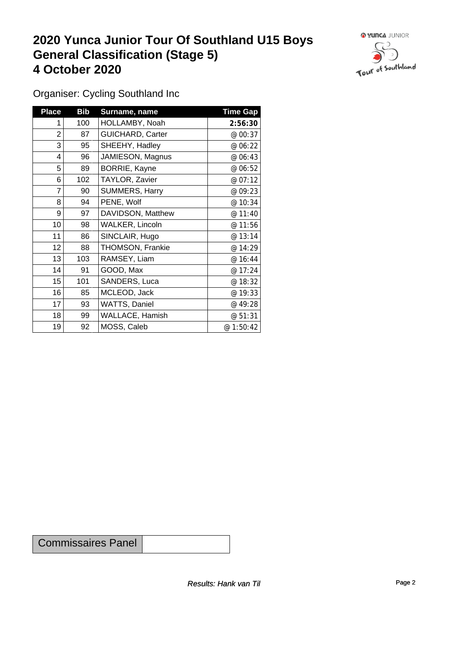### **2020 Yunca Junior Tour Of Southland U15 Boys General Classification (Stage 5)**<br>
4 October 2020 **4 October 2020**



Organiser: Cycling Southland Inc

| <b>Place</b>    | <b>Bib</b> | Surname, name           | <b>Time Gap</b> |
|-----------------|------------|-------------------------|-----------------|
| 1               | 100        | HOLLAMBY, Noah          | 2:56:30         |
| $\overline{2}$  | 87         | <b>GUICHARD, Carter</b> | @ 00:37         |
| 3               | 95         | SHEEHY, Hadley          | @ 06:22         |
| 4               | 96         | JAMIESON, Magnus        | @ 06:43         |
| 5               | 89         | BORRIE, Kayne           | @ 06:52         |
| 6               | 102        | TAYLOR, Zavier          | @ 07:12         |
| 7               | 90         | SUMMERS, Harry          | @ 09:23         |
| 8               | 94         | PENE, Wolf              | @ 10:34         |
| 9               | 97         | DAVIDSON, Matthew       | @ 11:40         |
| 10 <sup>1</sup> | 98         | <b>WALKER, Lincoln</b>  | @ 11:56         |
| 11              | 86         | SINCLAIR, Hugo          | @ 13:14         |
| 12              | 88         | THOMSON, Frankie        | @ 14:29         |
| 13              | 103        | RAMSEY, Liam            | @ 16:44         |
| 14              | 91         | GOOD, Max               | @ 17:24         |
| 15              | 101        | SANDERS, Luca           | @ 18:32         |
| 16              | 85         | MCLEOD, Jack            | @ 19:33         |
| 17              | 93         | WATTS, Daniel           | @ 49:28         |
| 18              | 99         | WALLACE, Hamish         | @ 51:31         |
| 19              | 92         | MOSS, Caleb             | @1:50:42        |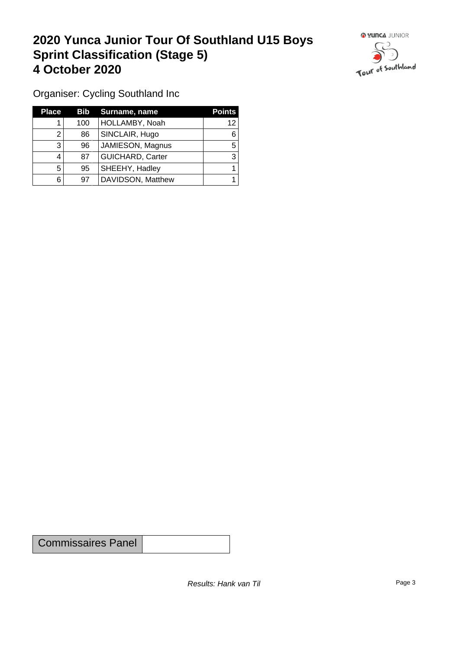### **2020 Yunca Junior Tour Of Southland U15 Boys Sprint Classification (Stage 5) 4 October 2020**



Organiser: Cycling Southland Inc

| <b>Place</b> | Bib | Surname, name     | <b>Points</b> |
|--------------|-----|-------------------|---------------|
|              | 100 | HOLLAMBY, Noah    | 12            |
|              | 86  | SINCLAIR, Hugo    |               |
| 3            | 96  | JAMIESON, Magnus  | 5             |
|              | 87  | GUICHARD, Carter  |               |
| 5            | 95  | SHEEHY, Hadley    |               |
| 6            | 97  | DAVIDSON, Matthew |               |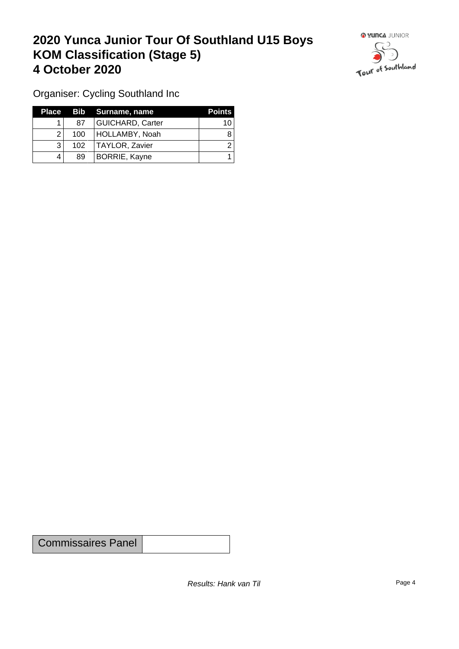## **2020 Yunca Junior Tour Of Southland U15 Boys KOM Classification (Stage 5) 4 October 2020 19 To 2020 19 To 2020 19 To 2020**



Organiser: Cycling Southland Inc

| Place |     | Bib Surname, name       | <b>Points</b> |
|-------|-----|-------------------------|---------------|
|       | 87  | <b>GUICHARD, Carter</b> | 10            |
| ◠     | 100 | HOLLAMBY, Noah          |               |
|       | 102 | TAYLOR, Zavier          |               |
|       | 89  | BORRIE, Kayne           |               |